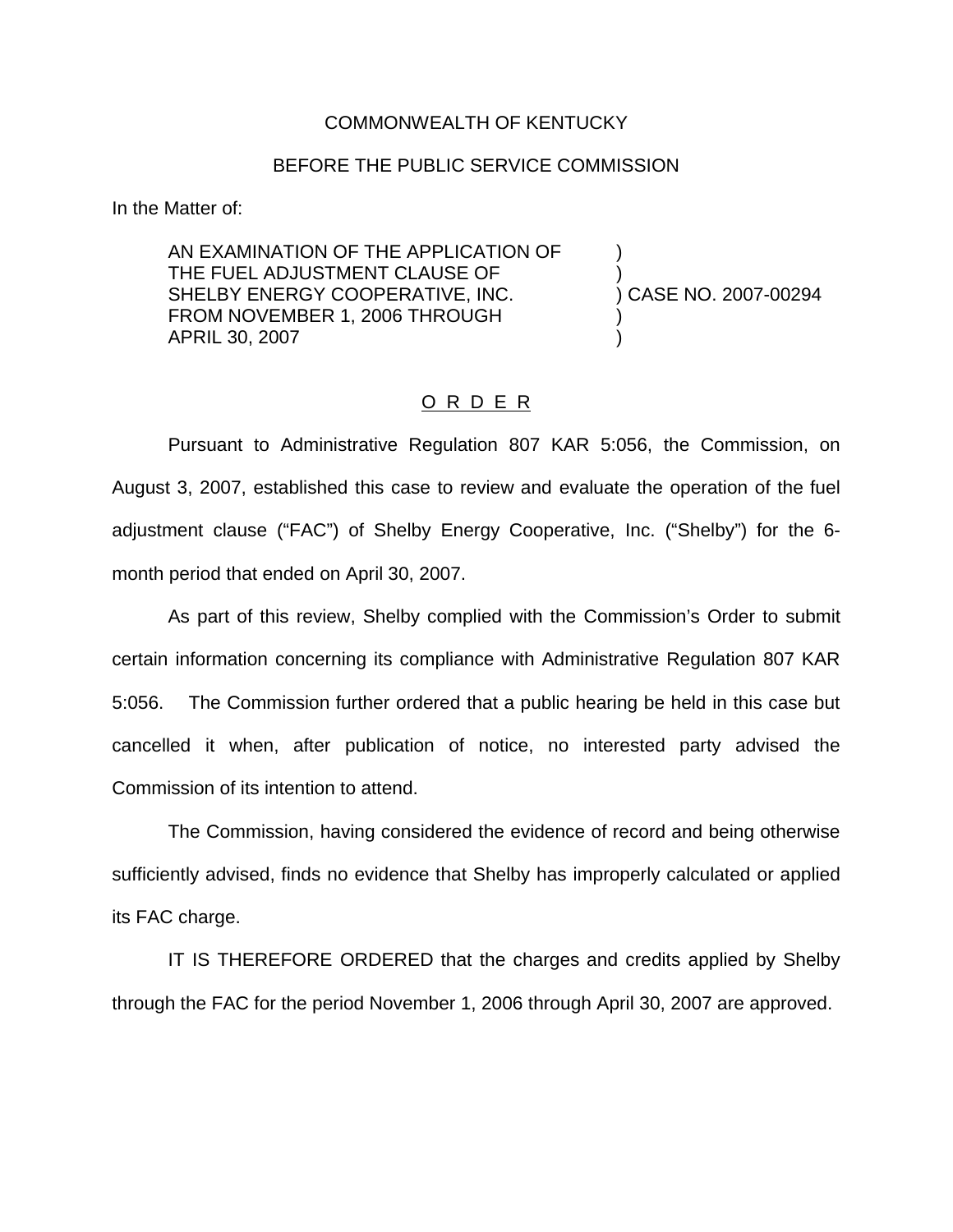## COMMONWEALTH OF KENTUCKY

## BEFORE THE PUBLIC SERVICE COMMISSION

In the Matter of:

AN EXAMINATION OF THE APPLICATION OF ) THE FUEL ADJUSTMENT CLAUSE OF  $\qquad \qquad$ )<br>SHELBY ENERGY COOPERATIVE, INC.  $\qquad \qquad$ ) CASE NO. 2007-00294 SHELBY ENERGY COOPERATIVE, INC. FROM NOVEMBER 1, 2006 THROUGH APRIL 30, 2007 )

## O R D E R

Pursuant to Administrative Regulation 807 KAR 5:056, the Commission, on August 3, 2007, established this case to review and evaluate the operation of the fuel adjustment clause ("FAC") of Shelby Energy Cooperative, Inc. ("Shelby") for the 6 month period that ended on April 30, 2007.

As part of this review, Shelby complied with the Commission's Order to submit certain information concerning its compliance with Administrative Regulation 807 KAR 5:056. The Commission further ordered that a public hearing be held in this case but cancelled it when, after publication of notice, no interested party advised the Commission of its intention to attend.

The Commission, having considered the evidence of record and being otherwise sufficiently advised, finds no evidence that Shelby has improperly calculated or applied its FAC charge.

IT IS THEREFORE ORDERED that the charges and credits applied by Shelby through the FAC for the period November 1, 2006 through April 30, 2007 are approved.